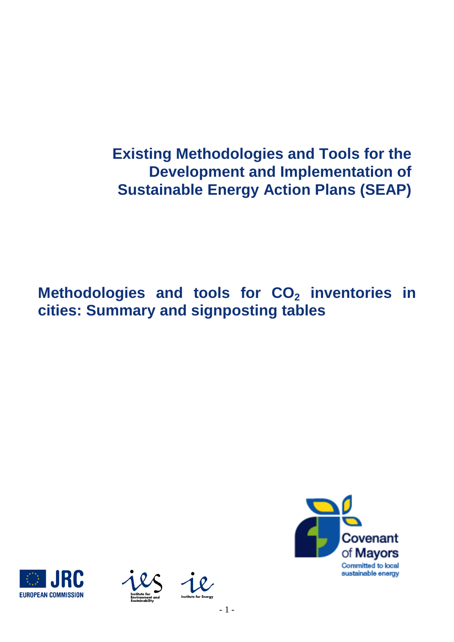**Existing Methodologies and Tools for the Development and Implementation of Sustainable Energy Action Plans (SEAP)**

**Methodologies and tools for CO<sup>2</sup> inventories in cities: Summary and signposting tables**







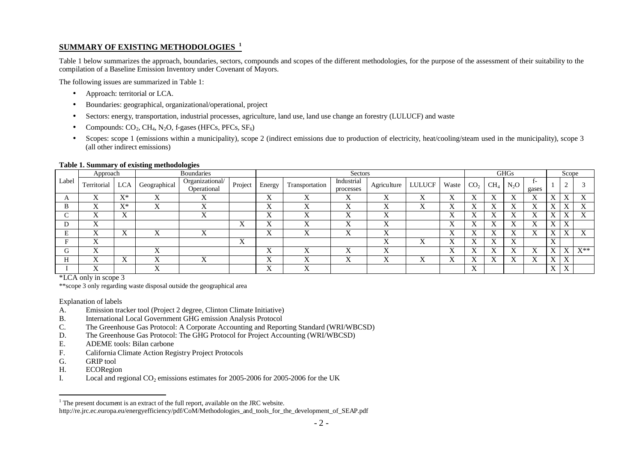## **SUMMARY OF EXISTING METHODOLOGIES <sup>1</sup>**

Table 1 below summarizes the approach, boundaries, sectors, compounds and scopes of the different methodologies, for the purpose of the assessment of their suitability to the compilation of a Baseline Emission Inventory under Covenant of Mayors.

The following issues are summarized in Table 1:

- Approach: territorial or LCA.
- Boundaries: geographical, organizational/operational, project
- Sectors: energy, transportation, industrial processes, agriculture, land use, land use change an forestry (LULUCF) and waste
- Compounds:  $CO_2$ , CH<sub>4</sub>, N<sub>2</sub>O, f-gases (HFCs, PFCs, SF<sub>6</sub>)
- Scopes: scope 1 (emissions within a municipality), scope 2 (indirect emissions due to production of electricity, heat/cooling/steam used in the municipality), scope 3 (all other indirect emissions)

## **Table 1. Summary of existing methodologies**

|              | Approach    |                             | -<br>$\bullet$<br><b>Boundaries</b> |                                |                           | Sectors                 |                |                           |                           |               | <b>GHGs</b>    |                           |        |                  | Scope                 |                            |                           |                   |
|--------------|-------------|-----------------------------|-------------------------------------|--------------------------------|---------------------------|-------------------------|----------------|---------------------------|---------------------------|---------------|----------------|---------------------------|--------|------------------|-----------------------|----------------------------|---------------------------|-------------------|
| Label        | Territorial | <b>LCA</b>                  | Geographical                        | Organizational/<br>Operational | Project                   | Energy                  | Transportation | Industrial<br>processes   | Agriculture               | <b>LULUCF</b> | Waste          | CO <sub>2</sub>           | $CH_4$ | N <sub>2</sub> O | $I^-$<br>gases        |                            |                           |                   |
| $\mathbf{r}$ |             | $\mathbf{V}^*$<br>$\Lambda$ | ∡                                   | ∡                              |                           | $\Lambda$               |                | $\Lambda$                 | $\Lambda$                 |               | ∡⊾             | л                         |        | л                | $\Lambda$             | $\lambda$                  |                           |                   |
| B            |             | $X^*$                       | $\overline{\mathbf{x}}$<br>л        | ∡                              |                           | х,<br>$\Lambda$         | △              | $\mathbf{v}$<br>$\Lambda$ | $\mathbf{x}$<br>$\Lambda$ | $\Lambda$     | л              | л                         |        | л                | $\Lambda$             | $\Lambda$                  | △                         | $\lambda$         |
| ⌒            |             | $\mathbf{v}$<br>$\Lambda$   |                                     |                                |                           | <b>x</b> z<br>$\Lambda$ |                | $\mathbf{v}$<br>$\Lambda$ | $\mathbf{v}$<br>$\Lambda$ |               |                | л                         |        |                  | <b>T</b><br>Λ         | Λ                          | $\overline{\mathbf{x}}$   |                   |
| D            | $\lambda$   |                             |                                     |                                | $\Lambda$                 | л                       |                | $\Lambda$                 | $\Lambda$                 |               |                | л                         |        |                  |                       | Х                          | $\mathbf{v}$              |                   |
| Е            |             | $\Lambda$                   | $\overline{\mathbf{x}}$<br>∡        |                                |                           | v z<br>$\Lambda$        | $\mathbf{x}$   | $\mathbf{v}$<br>$\Lambda$ | $\mathbf{x}$<br>Δ         |               | <b>T</b><br>∡⊾ | ́△                        |        | л                | <b>T</b><br>$\Lambda$ | $\mathbf{v}$<br><u> 77</u> | x z                       |                   |
| F            | ∡           |                             |                                     |                                | $\mathbf{x}$<br>$\Lambda$ |                         |                |                           | $\mathbf{x}$<br>$\Lambda$ | ×.            |                | △                         |        | л                |                       | $\mathbf{v}$<br>77         |                           |                   |
| G            |             |                             | $\Lambda$                           |                                |                           | $\Lambda$               |                | 7<br>$\Lambda$            | $\Lambda$                 |               | 47             | л                         |        | л                | $\Lambda$             | $\Lambda$                  | ٦z                        | $\mathrm{X}^{**}$ |
| Н            | △           | $\Lambda$                   | ∡                                   | △                              |                           | $\Lambda$               |                | $\mathbf{v}$<br>$\Lambda$ | $\Lambda$                 | $\Lambda$     | A              | л                         |        |                  | Λ                     | X                          | $\mathbf{x}$<br>$\Lambda$ |                   |
|              | 77          |                             | 47                                  |                                |                           | $\Lambda$               | ∡              |                           |                           |               |                | $\mathbf{v}$<br>$\Lambda$ |        |                  |                       | X                          | $\mathbf{x}$<br>$\Lambda$ |                   |

\*LCA only in scope 3

\*\*scope 3 only regarding waste disposal outside the geographical area

## Explanation of labels

- A. Emission tracker tool (Project 2 degree, Clinton Climate Initiative)
- B. International Local Government GHG emission Analysis Protocol
- C. The Greenhouse Gas Protocol: A Corporate Accounting and Reporting Standard (WRI/WBCSD)
- D. The Greenhouse Gas Protocol: The GHG Protocol for Project Accounting (WRI/WBCSD)
- E. ADEME tools: Bilan carbone<br>F. California Climate Action Res
- California Climate Action Registry Project Protocols
- G. GRIP tool
- H. ECORegion
- I. Local and regional  $CO<sub>2</sub>$  emissions estimates for 2005-2006 for 2005-2006 for the UK

 $<sup>1</sup>$  The present document is an extract of the full report, available on the JRC website.</sup>

http://re.jrc.ec.europa.eu/energyefficiency/pdf/CoM/Methodologies\_and\_tools\_for\_the\_development\_of\_SEAP.pdf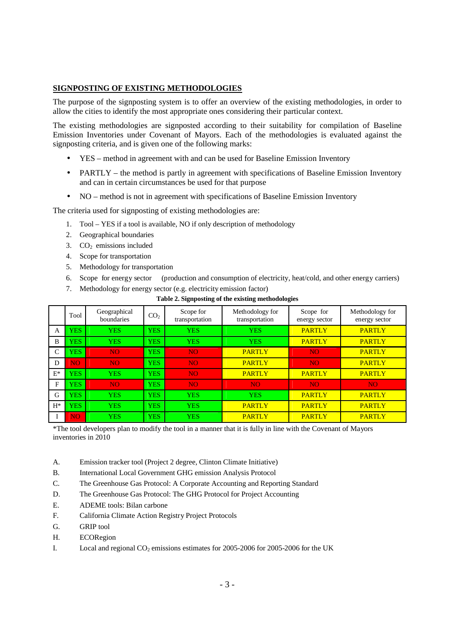## **SIGNPOSTING OF EXISTING METHODOLOGIES**

The purpose of the signposting system is to offer an overview of the existing methodologies, in order to allow the cities to identify the most appropriate ones considering their particular context.

The existing methodologies are signposted according to their suitability for compilation of Baseline Emission Inventories under Covenant of Mayors. Each of the methodologies is evaluated against the signposting criteria, and is given one of the following marks:

- YES method in agreement with and can be used for Baseline Emission Inventory
- PARTLY the method is partly in agreement with specifications of Baseline Emission Inventory and can in certain circumstances be used for that purpose
- NO method is not in agreement with specifications of Baseline Emission Inventory

The criteria used for signposting of existing methodologies are:

- 1. Tool YES if a tool is available, NO if only description of methodology
- 2. Geographical boundaries
- 3.  $CO<sub>2</sub>$  emissions included
- 4. Scope for transportation
- 5. Methodology for transportation
- 6. Scope for energy sector (production and consumption of electricity, heat/cold, and other energy carriers)
- 7. Methodology for energy sector (e.g. electricity emission factor)

|       | Tool       | Geographical<br>boundaries | CO <sub>2</sub> | Scope for<br>transportation | Methodology for<br>transportation | Scope for<br>energy sector | Methodology for<br>energy sector |
|-------|------------|----------------------------|-----------------|-----------------------------|-----------------------------------|----------------------------|----------------------------------|
| A     | <b>YES</b> | <b>YES</b>                 | <b>YES</b>      | <b>YES</b>                  | <b>YES</b>                        | <b>PARTLY</b>              | <b>PARTLY</b>                    |
| B     | <b>YES</b> | <b>YES</b>                 | <b>YES</b>      | <b>YES</b>                  | <b>YES</b>                        | <b>PARTLY</b>              | <b>PARTLY</b>                    |
| C     | <b>YES</b> | NO.                        | <b>YES</b>      | N <sub>O</sub>              | <b>PARTLY</b>                     | NO.                        | <b>PARTLY</b>                    |
| D     | NO.        | NO.                        | <b>YES</b>      | N <sub>O</sub>              | <b>PARTLY</b>                     | NO <sub>1</sub>            | <b>PARTLY</b>                    |
| $E^*$ | <b>YES</b> | <b>YES</b>                 | <b>YES</b>      | N <sub>O</sub>              | <b>PARTLY</b>                     | <b>PARTLY</b>              | <b>PARTLY</b>                    |
| F     | <b>YES</b> | NO.                        | <b>YES</b>      | N <sub>O</sub>              | N <sub>O</sub>                    | NO <sub>1</sub>            | NO <sub>1</sub>                  |
| G     | <b>YES</b> | <b>YES</b>                 | <b>YES</b>      | <b>YES</b>                  | <b>YES</b>                        | <b>PARTLY</b>              | <b>PARTLY</b>                    |
| $H^*$ | <b>YES</b> | <b>YES</b>                 | <b>YES</b>      | <b>YES</b>                  | <b>PARTLY</b>                     | <b>PARTLY</b>              | <b>PARTLY</b>                    |
|       | NO.        | <b>YES</b>                 | <b>YES</b>      | <b>YES</b>                  | <b>PARTLY</b>                     | <b>PARTLY</b>              | <b>PARTLY</b>                    |

**Table 2. Signposting of the existing methodologies**

\*The tool developers plan to modify the tool in a manner that it is fully in line with the Covenant of Mayors inventories in 2010

- A. Emission tracker tool (Project 2 degree, Clinton Climate Initiative)
- B. International Local Government GHG emission Analysis Protocol
- C. The Greenhouse Gas Protocol: A Corporate Accounting and Reporting Standard
- D. The Greenhouse Gas Protocol: The GHG Protocol for Project Accounting
- E. ADEME tools: Bilan carbone
- F. California Climate Action Registry Project Protocols
- G. GRIP tool
- H. ECORegion
- I. Local and regional  $CO<sub>2</sub>$  emissions estimates for 2005-2006 for 2005-2006 for the UK